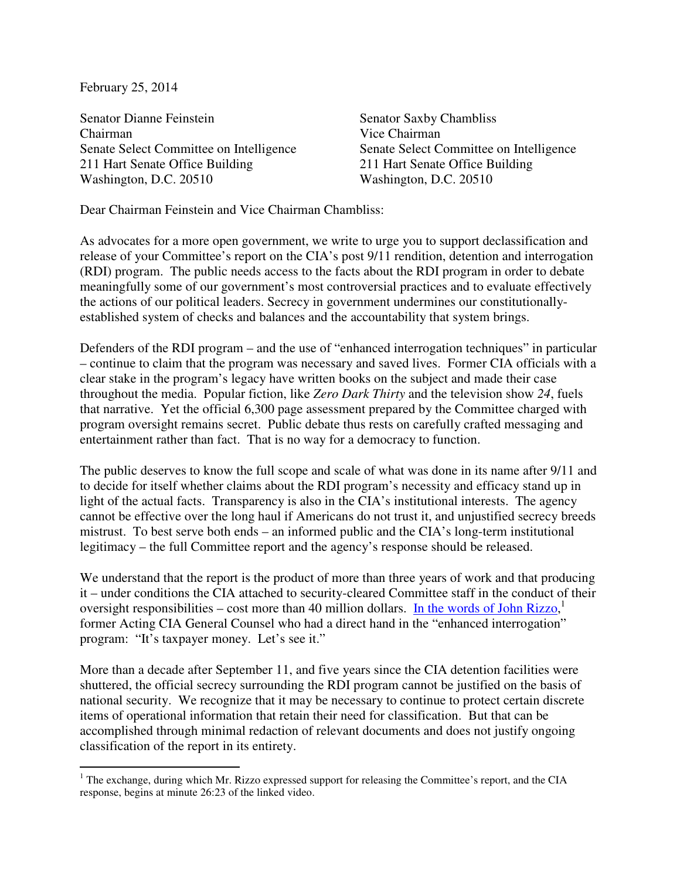February 25, 2014

L

Senator Dianne Feinstein Senator Saxby Chambliss Chairman Vice Chairman Senate Select Committee on Intelligence Senate Select Committee on Intelligence 211 Hart Senate Office Building 211 Hart Senate Office Building Washington, D.C. 20510 Washington, D.C. 20510

Dear Chairman Feinstein and Vice Chairman Chambliss:

As advocates for a more open government, we write to urge you to support declassification and release of your Committee's report on the CIA's post 9/11 rendition, detention and interrogation (RDI) program. The public needs access to the facts about the RDI program in order to debate meaningfully some of our government's most controversial practices and to evaluate effectively the actions of our political leaders. Secrecy in government undermines our constitutionallyestablished system of checks and balances and the accountability that system brings.

Defenders of the RDI program – and the use of "enhanced interrogation techniques" in particular – continue to claim that the program was necessary and saved lives. Former CIA officials with a clear stake in the program's legacy have written books on the subject and made their case throughout the media. Popular fiction, like *Zero Dark Thirty* and the television show *24*, fuels that narrative. Yet the official 6,300 page assessment prepared by the Committee charged with program oversight remains secret. Public debate thus rests on carefully crafted messaging and entertainment rather than fact. That is no way for a democracy to function.

The public deserves to know the full scope and scale of what was done in its name after 9/11 and to decide for itself whether claims about the RDI program's necessity and efficacy stand up in light of the actual facts. Transparency is also in the CIA's institutional interests. The agency cannot be effective over the long haul if Americans do not trust it, and unjustified secrecy breeds mistrust. To best serve both ends – an informed public and the CIA's long-term institutional legitimacy – the full Committee report and the agency's response should be released.

We understand that the report is the product of more than three years of work and that producing it – under conditions the CIA attached to security-cleared Committee staff in the conduct of their oversight responsibilities – cost more than 40 million dollars. In the words of John Rizzo,<sup>1</sup> former Acting CIA General Counsel who had a direct hand in the "enhanced interrogation" program: "It's taxpayer money. Let's see it."

More than a decade after September 11, and five years since the CIA detention facilities were shuttered, the official secrecy surrounding the RDI program cannot be justified on the basis of national security. We recognize that it may be necessary to continue to protect certain discrete items of operational information that retain their need for classification. But that can be accomplished through minimal redaction of relevant documents and does not justify ongoing classification of the report in its entirety.

<sup>&</sup>lt;sup>1</sup> The exchange, during which Mr. Rizzo expressed support for releasing the Committee's report, and the CIA response, begins at minute 26:23 of the linked video.